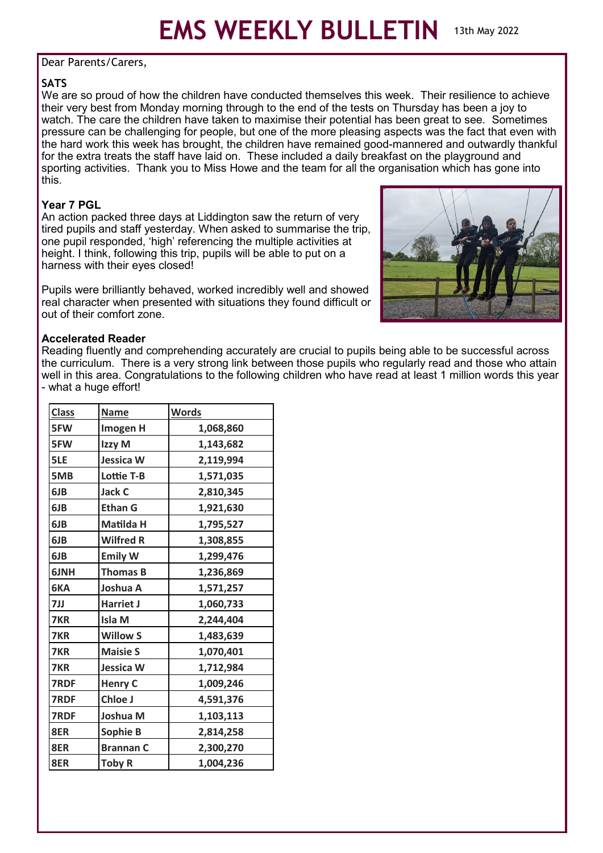#### Dear Parents/Carers,

# **SATS**

We are so proud of how the children have conducted themselves this week. Their resilience to achieve their very best from Monday morning through to the end of the tests on Thursday has been a joy to watch. The care the children have taken to maximise their potential has been great to see. Sometimes pressure can be challenging for people, but one of the more pleasing aspects was the fact that even with the hard work this week has brought, the children have remained good-mannered and outwardly thankful for the extra treats the staff have laid on. These included a daily breakfast on the playground and sporting activities. Thank you to Miss Howe and the team for all the organisation which has gone into this.

## **Year 7 PGL**

An action packed three days at Liddington saw the return of very tired pupils and staff yesterday. When asked to summarise the trip, one pupil responded, 'high' referencing the multiple activities at height. I think, following this trip, pupils will be able to put on a harness with their eyes closed!

Pupils were brilliantly behaved, worked incredibly well and showed real character when presented with situations they found difficult or out of their comfort zone.



### **Accelerated Reader**

Reading fluently and comprehending accurately are crucial to pupils being able to be successful across the curriculum. There is a very strong link between those pupils who regularly read and those who attain well in this area. Congratulations to the following children who have read at least 1 million words this year - what a huge effort!

| <b>Class</b> | <b>Name</b>       | <b>Words</b> |
|--------------|-------------------|--------------|
| 5FW          | Imogen H          | 1,068,860    |
| 5FW          | Izzy M            | 1,143,682    |
| 5LE          | <b>Jessica W</b>  | 2,119,994    |
| 5MB          | <b>Lottie T-B</b> | 1,571,035    |
| 6JB          | <b>Jack C</b>     | 2,810,345    |
| 6JB          | <b>Ethan G</b>    | 1,921,630    |
| 6JB          | Matilda H         | 1,795,527    |
| 6JB          | <b>Wilfred R</b>  | 1,308,855    |
| 6JB          | <b>Emily W</b>    | 1,299,476    |
| 6JNH         | <b>Thomas B</b>   | 1,236,869    |
| 6KA          | Joshua A          | 1,571,257    |
| 7JJ          | <b>Harriet J</b>  | 1,060,733    |
| 7KR          | <b>Isla M</b>     | 2,244,404    |
| 7KR          | <b>Willow S</b>   | 1,483,639    |
| 7KR          | <b>Maisie S</b>   | 1,070,401    |
| 7KR          | <b>Jessica W</b>  | 1,712,984    |
| 7RDF         | <b>Henry C</b>    | 1,009,246    |
| 7RDF         | Chloe J           | 4,591,376    |
| 7RDF         | Joshua M          | 1,103,113    |
| 8ER          | Sophie B          | 2,814,258    |
| 8ER          | <b>Brannan C</b>  | 2,300,270    |
| 8ER          | <b>Toby R</b>     | 1,004,236    |